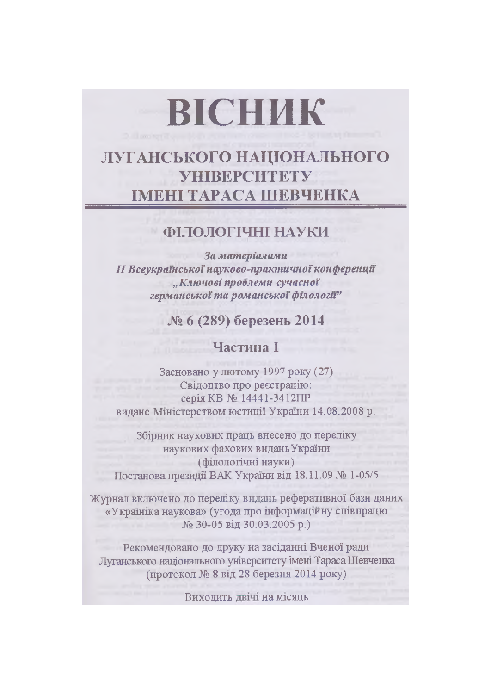# ВІСНИК

# ЛУГАНСЬКОГО НАЦІОНАЛЬНОГО **VHIBEPCHTETY** ІМЕНІ ТАРАСА ШЕВЧЕНКА

## ФІЛОЛОГІЧНІ НАУКИ

За матеріалами **II Всеукраїнської науково-практичної конференції** "Ключові проблеми сучасної германської та романської філології"

# № 6 (289) березень 2014

### Частина I

Засновано у лютому 1997 року (27) Свідоцтво про реєстрацію: серія КВ № 14441-3412ПР видане Міністерством юстиції України 14.08.2008 р.

Збірник наукових праць внесено до переліку наукових фахових видань України (філологічні науки) Постанова президії ВАК України від 18.11.09 № 1-05/5

Журнал включено до переліку видань реферативної бази даних «Україніка наукова» (угода про інформаційну співпрацю № 30-05 від 30.03.2005 р.)

Рекомендовано до друку на засіданні Вченої ради Луганського національного університету імені Тараса Шевченка (протокол № 8 від 28 березня 2014 року)

Виходить двічі на місяць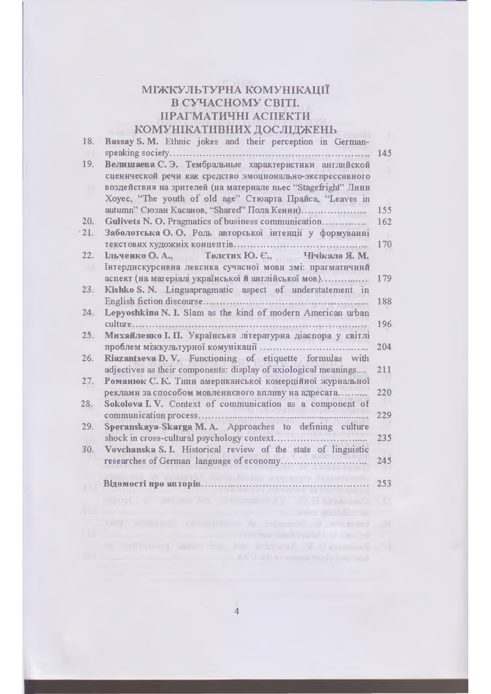#### МІЖКУЛЬТУРНА КОМУНІКАЦІЇ В СУЧАСНОМУ СВІТІ. ПРАГМАТИЧНІ АСПЕКТИ КОМУНІКАТИВНИХ ДОСЛІЛЖЕНЬ

| 18. | Bassay S. M. Ethnic jokes and their perception in German-                                                          |     |
|-----|--------------------------------------------------------------------------------------------------------------------|-----|
|     | speaking society                                                                                                   | 145 |
| 19. | Велишаева С. Э. Тембральные характеристики английской<br>сценнческой речи как средство эмоционально-экспрессивного |     |
|     | воздействня на зрителей (на материале пьес "Stagefright" Линн                                                      |     |
|     | Хоуес, "The youth of old age" Стюарта Прайса, "Leaves in                                                           | 155 |
| 20. | Gulivets N. O. Pragmatics of business communication                                                                | 162 |
| 21. | Заболотська О. О. Роль авторської інтенції у формуванні                                                            |     |
|     | текстових художніх концептів<br>Чічікало Я. М.                                                                     | 170 |
| 22. | <b><i>LILHERRO</i></b> O. A.,<br>Толстих Ю. Є.,<br>Інтердискурснвна лекснка сучасної мови змі: прагматнчний        |     |
|     | аспект (на матеріалі української й англійської мов)                                                                | 179 |
| 23. | Kishko S. N. Linguapragmatic aspect of understatement in                                                           |     |
|     | English fiction discourse                                                                                          | 188 |
| 24. | Lepyoshkina N. I. Slam as the kind of modern American urban<br>culture                                             |     |
| 25. | Михайленко I. П. Українська літературна діаспора у світлі                                                          | 196 |
|     | проблем міжкультурної комунікації                                                                                  | 204 |
| 26. | Riazantseva D.V. Functioning of etiquette formulas with                                                            |     |
|     | adjectives as their components: display of axiological meanings                                                    | 211 |
| 27. | Романюк С. К. Типи американської комерційної журнальної<br>реклами за способом мовлениевого впливу на адресата     | 220 |
| 28. | Sokolova I.V. Context of communication as a component of                                                           |     |
|     | communication process                                                                                              | 229 |
| 29. | Speranskaya-Skarga M.A. Approaches to defining culture                                                             |     |
| 30. | shock in cross-cultural psychology context.<br>Vovchanska S. I. Historical review of the state of linguistic       | 235 |
|     | researches of German language of economy.                                                                          | 245 |
|     | Відомості про авторів.                                                                                             | 253 |
|     |                                                                                                                    |     |
|     |                                                                                                                    |     |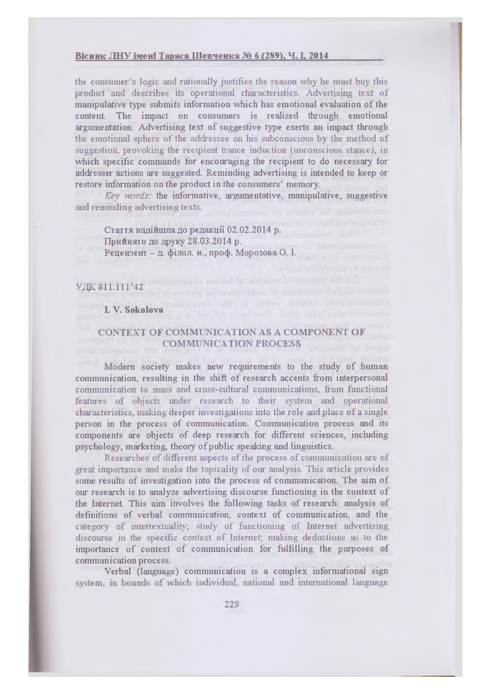#### Bicник ЛНУ імені Тараса Шевченка № 6 (289). Ч. І. 2014

the consumer's logic and rationally justifies the reason why he must buy this product and describes its operational characteristics. Advertising text of manipulative type submits information which has emotional evaluation of the content. The impact on consumers is realized through emotional argumentation. Advertising text of suggestive type exerts an impact through the emotional sphere of the addressee on his subconscious by the method of suggestion, provoking the recipient trance induction (unconscious stance), in which specific commands for encouraging the recipient to do necessary for addresser actions are suggested. Reminding advertising is intended to keep or restore information on the product in the consumers' memory.

*Key words:* the informative, argumentative, manipulative, suggestive and reminding advertising texts.

Стаття надійшла до редакції 02.02.2014 p. Приннято до друку 28.03.2014 p. Рецензент - д. філол. н., проф. Морозова О. I.

# Y.ZIK 811.111'42 WARD CONDIGER DUE TO BE AN ALL AND THE LIBRARY

# **I. V. Sokolova**

#### **CONTEXT OF COMMUNICATION AS A COMPONENT OF COMMUNICATION PROCESS**

Modem society makes new requirements to the study of human communication, resulting in the shift of research accents from interpersonal communication to mass and cross-cultural communications, from functional features of objects under research to their system and operational characteristics, making deeper investigations into the role and place of a single person in the process of communication. Communication process and its components are objects of deep research for different sciences, including psychology, marketing, theory of public speaking and linguistics.

Researches of different aspects of the process of communication are of great importance and make the topicality of our analysis. This article provides some results of investigation into the process of communication. The aim of our research is to analyze advertising discourse functioning in the context of the Internet. This aim involves the following tasks of research: analysis of definitions of verbal communication, context of communication, and the category of intertextuality; study of functioning of Internet advertising discourse in the specific context of Internet; making deductions as to the importance of context of communication for fulfilling the purposes of communication process.

Verbal (language) communication is a complex informational sign system, in bounds of which individual, national and international language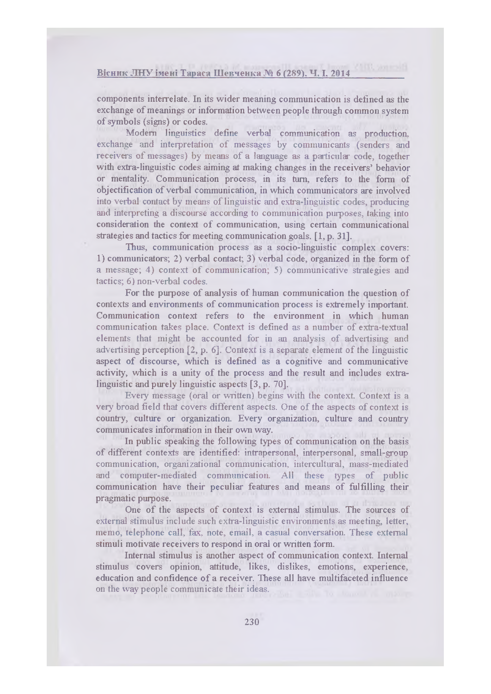components interrelate. In its wider meaning communication is defined as the exchange of meanings or information between people through common system of symbols (signs) or codes.

Modem linguistics define verbal communication as production, exchange and interpretation of messages by communicants (senders and receivers of messages) by means of a language as a particular code, together with extra-linguistic codes aiming at making changes in the receivers' behavior or mentality. Communication process, in its turn, refers to the form of objectification of verbal communication, in which communicators are involved into verbal contact by means of linguistic and extra-linguistic codes, producing and interpreting a discourse according to communication purposes, taking into consideration the context of communication, using certain communicational strategies and tactics for meeting communication goals. [1, p. 31].

Thus, communication process as a socio-linguistic complex covers: 1) communicators; 2) verbal contact; 3) verbal code, organized in the form of a message; 4) context of communication; 5) communicative strategies and tactics; 6) non-verbal codes.

For the purpose of analysis of human communication the question of contexts and environments of communication process is extremely important. Communication context refers to the environment in which human communication takes place. Context is defined as a number of extra-textual elements that might be accounted for in an analysis of advertising and advertising perception [2, p. 6], Context is a separate element of the linguistic aspect of discourse, which is defined as a cognitive and communicative activity, which is a unity of the process and the result and includes extralinguistic and purely linguistic aspects [3, p. 70],

Every message (oral or written) begins with the context. Context is a very broad field that covers different aspects. One of the aspects of context is country, culture or organization. Every organization, culture and country communicates information in their own way.

In public speaking the following types of communication on the basis of different contexts are identified: intrapersonal, interpersonal, small-group communication, organizational communication, intercultural, mass-mediated and computer-mediated communication. All these types of public communication have their peculiar features and means of fulfilling their pragmatic purpose.

One of the aspects of context is external stimulus. The sources of external stimulus include such extra-linguistic environments as meeting, letter, memo, telephone call, fax, note, email, a casual conversation. These external stimuli motivate receivers to respond in oral or written form.

Internal stimulus is another aspect of communication context. Internal stimulus covers opinion, attitude, likes, dislikes, emotions, experience, education and confidence of a receiver. These all have multifaceted influence on the way people communicate their ideas.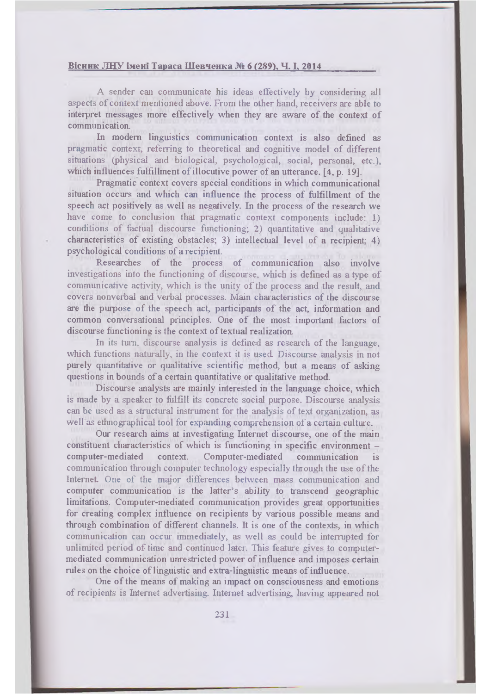#### Вісник ЛНУ імені Тараса Шевченка № 6 (289), Ч. I, 2014

A sender can communicate his ideas effectively by considering all aspects of context mentioned above. From the other hand, receivers are able to interpret messages more effectively when they are aware of the context of communication.

In modern linguistics communication context is also defined as pragmatic context, referring to theoretical and cognitive model of different situations (physical and biological, psychological, social, personal, etc.), which influences fulfillment of illocutive power of an utterance. [4, p. 19].

Pragmatic context covers special conditions in which communicational situation occurs and which can influence the process of fulfillment of the speech act positively as well as negatively. In the process of the research we have come to conclusion that pragmatic context components include: 1) conditions of factual discourse functioning; 2) quantitative and qualitative characteristics of existing obstacles; 3) intellectual level of a recipient; 4) psychological conditions of a recipient.

Researches of the process of communication also involve investigations into the functioning of discourse, which is defined as a type of communicative activity, which is the unity of the process and the result, and covers nonverbal and verbal processes. Main characteristics of the discourse are the purpose of the speech act, participants of the act, information and common conversational principles. One of the most important factors of discourse functioning is the context of textual realization.

In its turn, discourse analysis is defined as research of the language, which functions naturally, in the context it is used. Discourse analysis in not purely quantitative or qualitative scientific method, but a means of asking questions in bounds of a certain quantitative or qualitative method.

Discourse analysts are mainly interested in the language choice, which is made by a speaker to fulfill its concrete social purpose. Discourse analysis can be used as a structural instrument for the analysis of text organization, as well as ethnographical tool for expanding comprehension of a certain culture.

Our research aims at investigating Internet discourse, one of the main constituent characteristics of which is functioning in specific environment computer-mediated context. Computer-mediated communication is communication through computer technology especially through the use of the Internet. One of the major differences between mass communication and computer communication is the latter's ability to transcend geographic limitations. Computer-mediated communication provides great opportunities for creating complex influence on recipients by various possible means and through combination of different channels. It is one of the contexts, in which communication can occur immediately, as well as could be interrupted for unlimited period of time and continued later. This feature gives to computermediated communication unrestricted power of influence and imposes certain rules on the choice of linguistic and extra-linguistic means of influence.

One of the means of making an impact on consciousness and emotions of recipients is Internet advertising. Internet advertising, having appeared not